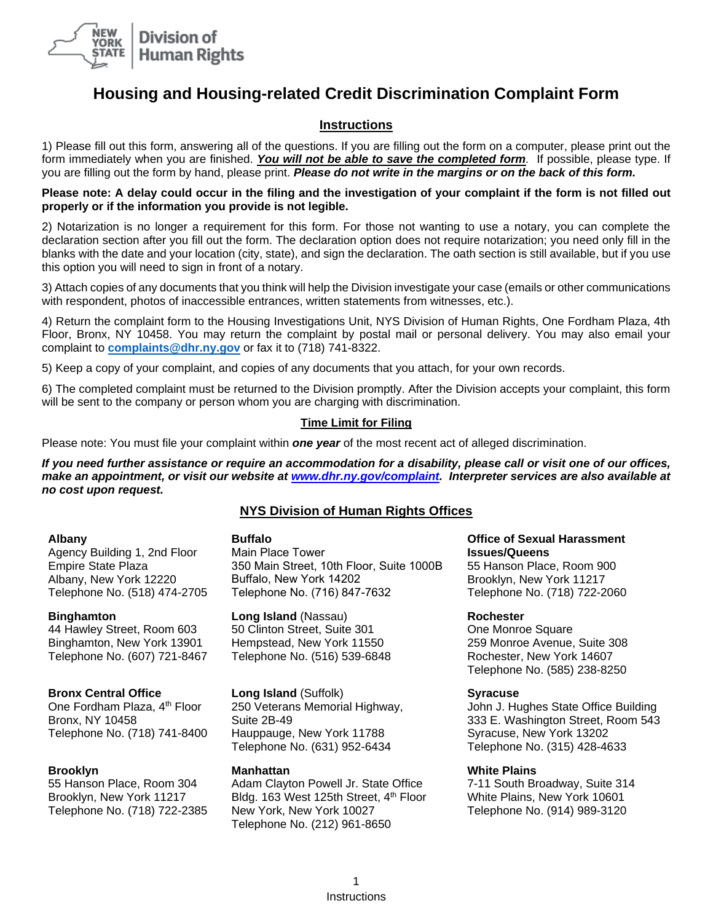

# **Housing and Housing-related Credit Discrimination Complaint Form**

### **Instructions**

1) Please fill out this form, answering all of the questions. If you are filling out the form on a computer, please print out the form immediately when you are finished. *You will not be able to save the completed form.* If possible, please type. If you are filling out the form by hand, please print. *Please do not write in the margins or on the back of this form.*

**Please note: A delay could occur in the filing and the investigation of your complaint if the form is not filled out properly or if the information you provide is not legible.** 

2) Notarization is no longer a requirement for this form. For those not wanting to use a notary, you can complete the declaration section after you fill out the form. The declaration option does not require notarization; you need only fill in the blanks with the date and your location (city, state), and sign the declaration. The oath section is still available, but if you use this option you will need to sign in front of a notary.

3) Attach copies of any documents that you think will help the Division investigate your case (emails or other communications with respondent, photos of inaccessible entrances, written statements from witnesses, etc.).

4) Return the complaint form to the Housing Investigations Unit, NYS Division of Human Rights, One Fordham Plaza, 4th Floor, Bronx, NY 10458. You may return the complaint by postal mail or personal delivery. You may also email your complaint to **[complaints@dhr.ny.gov](mailto:complaints@dhr.ny.gov)** or fax it to (718) 741-8322.

5) Keep a copy of your complaint, and copies of any documents that you attach, for your own records.

6) The completed complaint must be returned to the Division promptly. After the Division accepts your complaint, this form will be sent to the company or person whom you are charging with discrimination.

### **Time Limit for Filing**

Please note: You must file your complaint within *one year* of the most recent act of alleged discrimination.

*If you need further assistance or require an accommodation for a disability, please call or visit one of our offices, make an appointment, or visit our website at www.dhr.ny.gov/complaint. Interpreter services are also available at no cost upon request.*

#### **NYS Division of Human Rights Offices**

#### **Albany**

Agency Building 1, 2nd Floor Empire State Plaza Albany, New York 12220 Telephone No. (518) 474-2705

#### **Binghamton**

44 Hawley Street, Room 603 Binghamton, New York 13901 Telephone No. (607) 721-8467

#### **Bronx Central Office**

One Fordham Plaza, 4<sup>th</sup> Floor Bronx, NY 10458 Telephone No. (718) 741-8400

#### **Brooklyn**

55 Hanson Place, Room 304 Brooklyn, New York 11217 Telephone No. (718) 722-2385

#### **Buffalo**  Main Place Tower 350 Main Street, 10th Floor, Suite 1000B Buffalo, New York 14202 Telephone No. (716) 847-7632

**Long Island** (Nassau) 50 Clinton Street, Suite 301 Hempstead, New York 11550 Telephone No. (516) 539-6848

**Long Island** (Suffolk) 250 Veterans Memorial Highway, Suite 2B-49 Hauppauge, New York 11788 Telephone No. (631) 952-6434

#### **Manhattan**

Adam Clayton Powell Jr. State Office Bldg. 163 West 125th Street, 4<sup>th</sup> Floor New York, New York 10027 Telephone No. (212) 961-8650

### **Office of Sexual Harassment Issues/Queens**

55 Hanson Place, Room 900 Brooklyn, New York 11217 Telephone No. (718) 722-2060

#### **Rochester**

One Monroe Square 259 Monroe Avenue, Suite 308 Rochester, New York 14607 Telephone No. (585) 238-8250

#### **Syracuse**

John J. Hughes State Office Building 333 E. Washington Street, Room 543 Syracuse, New York 13202 Telephone No. (315) 428-4633

#### **White Plains**

7-11 South Broadway, Suite 314 White Plains, New York 10601 Telephone No. (914) 989-3120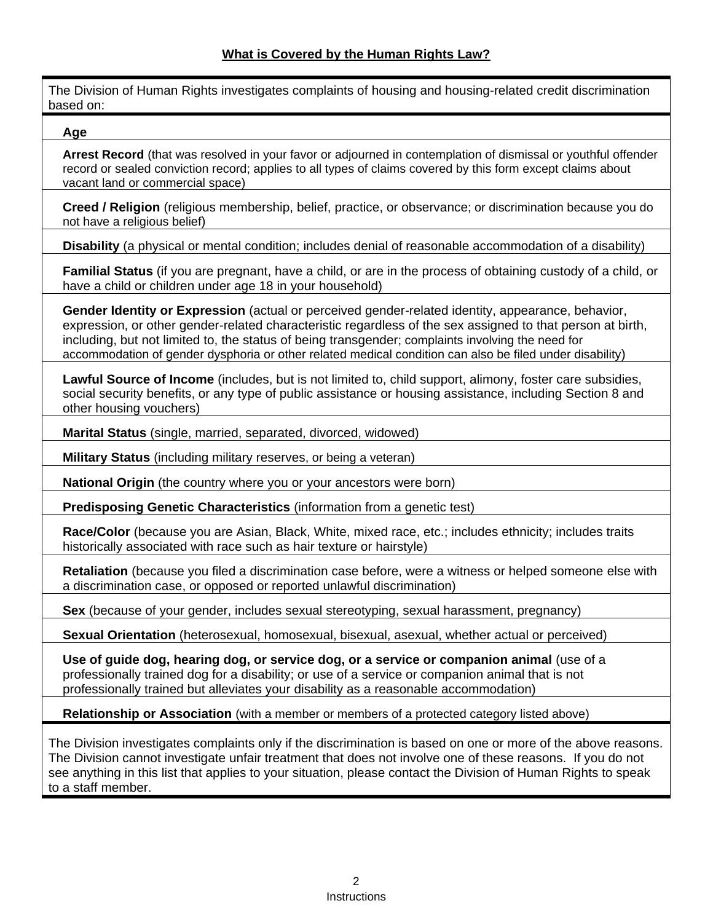The Division of Human Rights investigates complaints of housing and housing-related credit discrimination based on: **Age Arrest Record** (that was resolved in your favor or adjourned in contemplation of dismissal or youthful offender record or sealed conviction record; applies to all types of claims covered by this form except claims about vacant land or commercial space) **Creed / Religion** (religious membership, belief, practice, or observance; or discrimination because you do not have a religious belief) **Disability** (a physical or mental condition; includes denial of reasonable accommodation of a disability) **Familial Status** (if you are pregnant, have a child, or are in the process of obtaining custody of a child, or have a child or children under age 18 in your household) **Gender Identity or Expression** (actual or perceived gender-related identity, appearance, behavior, expression, or other gender-related characteristic regardless of the sex assigned to that person at birth, including, but not limited to, the status of being transgender; complaints involving the need for accommodation of gender dysphoria or other related medical condition can also be filed under disability) **Lawful Source of Income** (includes, but is not limited to, child support, alimony, foster care subsidies, social security benefits, or any type of public assistance or housing assistance, including Section 8 and other housing vouchers) **Marital Status** (single, married, separated, divorced, widowed) **Military Status** (including military reserves, or being a veteran) **National Origin** (the country where you or your ancestors were born) **Predisposing Genetic Characteristics** (information from a genetic test) **Race/Color** (because you are Asian, Black, White, mixed race, etc.; includes ethnicity; includes traits historically associated with race such as hair texture or hairstyle) **Retaliation** (because you filed a discrimination case before, were a witness or helped someone else with a discrimination case, or opposed or reported unlawful discrimination) **Sex** (because of your gender, includes sexual stereotyping, sexual harassment, pregnancy) **Sexual Orientation** (heterosexual, homosexual, bisexual, asexual, whether actual or perceived) **Use of guide dog, hearing dog, or service dog, or a service or companion animal** (use of a professionally trained dog for a disability; or use of a service or companion animal that is not professionally trained but alleviates your disability as a reasonable accommodation) **Relationship or Association** (with a member or members of a protected category listed above) The Division investigates complaints only if the discrimination is based on one or more of the above reasons. The Division cannot investigate unfair treatment that does not involve one of these reasons. If you do not see anything in this list that applies to your situation, please contact the Division of Human Rights to speak to a staff member.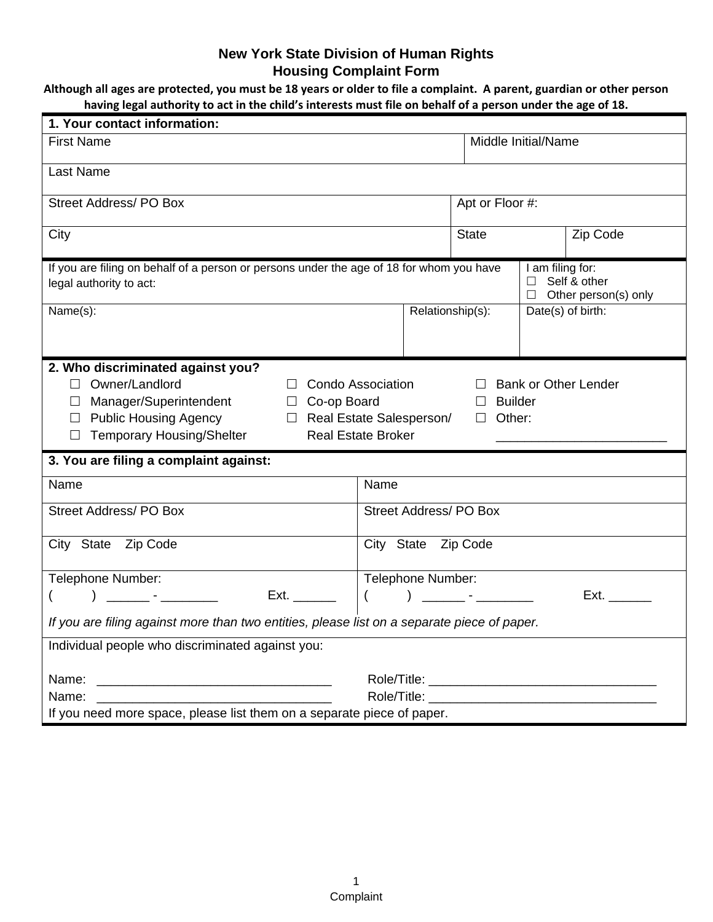# **New York State Division of Human Rights Housing Complaint Form**

**Although all ages are protected, you must be 18 years or older to file a complaint. A parent, guardian or other person having legal authority to act in the child's interests must file on behalf of a person under the age of 18.**

| 1. Your contact information:                                                                                                                                                                                                                                                                                                                                               |                              |                     |                                                                   |  |
|----------------------------------------------------------------------------------------------------------------------------------------------------------------------------------------------------------------------------------------------------------------------------------------------------------------------------------------------------------------------------|------------------------------|---------------------|-------------------------------------------------------------------|--|
| <b>First Name</b>                                                                                                                                                                                                                                                                                                                                                          |                              | Middle Initial/Name |                                                                   |  |
| Last Name                                                                                                                                                                                                                                                                                                                                                                  |                              |                     |                                                                   |  |
| <b>Street Address/PO Box</b>                                                                                                                                                                                                                                                                                                                                               |                              | Apt or Floor #:     |                                                                   |  |
| City                                                                                                                                                                                                                                                                                                                                                                       |                              | <b>State</b>        | Zip Code                                                          |  |
| If you are filing on behalf of a person or persons under the age of 18 for whom you have<br>legal authority to act:                                                                                                                                                                                                                                                        |                              |                     | I am filing for:<br>□ Self & other<br>$\Box$ Other person(s) only |  |
| Name(s):                                                                                                                                                                                                                                                                                                                                                                   | Relationship(s):             |                     | Date(s) of birth:                                                 |  |
| 2. Who discriminated against you?<br>Owner/Landlord<br>Condo Association<br><b>Bank or Other Lender</b><br>$\Box$<br>$\perp$<br>Manager/Superintendent<br><b>Builder</b><br>$\Box$ Co-op Board<br>$\Box$<br>$\Box$<br>$\Box$ Public Housing Agency<br>Real Estate Salesperson/<br>$\Box$ Other:<br><b>Temporary Housing/Shelter</b><br><b>Real Estate Broker</b><br>$\Box$ |                              |                     |                                                                   |  |
| 3. You are filing a complaint against:                                                                                                                                                                                                                                                                                                                                     |                              |                     |                                                                   |  |
| Name                                                                                                                                                                                                                                                                                                                                                                       | Name                         |                     |                                                                   |  |
| <b>Street Address/PO Box</b>                                                                                                                                                                                                                                                                                                                                               | <b>Street Address/PO Box</b> |                     |                                                                   |  |
| City State Zip Code                                                                                                                                                                                                                                                                                                                                                        | City State Zip Code          |                     |                                                                   |  |
| Telephone Number:                                                                                                                                                                                                                                                                                                                                                          | Telephone Number:            |                     |                                                                   |  |
| <u> 1999 - Jan Barbara (</u><br>Ext.<br>(                                                                                                                                                                                                                                                                                                                                  | $\left($                     |                     | Ext.                                                              |  |
| If you are filing against more than two entities, please list on a separate piece of paper.                                                                                                                                                                                                                                                                                |                              |                     |                                                                   |  |
| Individual people who discriminated against you:                                                                                                                                                                                                                                                                                                                           |                              |                     |                                                                   |  |
| Name:                                                                                                                                                                                                                                                                                                                                                                      |                              |                     |                                                                   |  |
| Name:                                                                                                                                                                                                                                                                                                                                                                      |                              |                     |                                                                   |  |
| If you need more space, please list them on a separate piece of paper.                                                                                                                                                                                                                                                                                                     |                              |                     |                                                                   |  |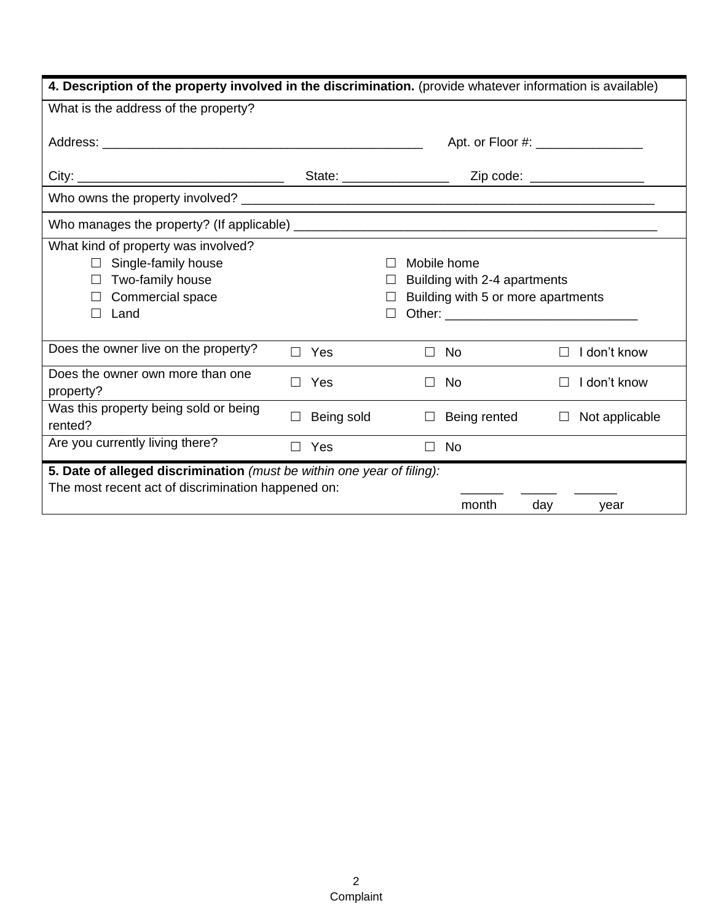| 4. Description of the property involved in the discrimination. (provide whatever information is available)                                           |            |            |        |                                                                                   |        |                |
|------------------------------------------------------------------------------------------------------------------------------------------------------|------------|------------|--------|-----------------------------------------------------------------------------------|--------|----------------|
| What is the address of the property?                                                                                                                 |            |            |        |                                                                                   |        |                |
|                                                                                                                                                      |            |            |        |                                                                                   |        |                |
|                                                                                                                                                      |            |            |        |                                                                                   |        |                |
|                                                                                                                                                      |            |            |        |                                                                                   |        |                |
|                                                                                                                                                      |            |            |        |                                                                                   |        |                |
| What kind of property was involved?<br>$\Box$ Single-family house<br>Two-family house<br>Commercial space<br>$\Box$<br>Land<br>$\mathbf{I}$          |            | $\Box$     |        | Mobile home<br>Building with 2-4 apartments<br>Building with 5 or more apartments |        |                |
| Does the owner live on the property?                                                                                                                 | $\Box$ Yes |            |        | $\Box$ No                                                                         | $\Box$ | I don't know   |
| Does the owner own more than one<br>property?                                                                                                        | $\Box$ Yes |            | П      | <b>No</b>                                                                         | П      | I don't know   |
| Was this property being sold or being<br>rented?                                                                                                     | $\Box$     | Being sold | $\Box$ | Being rented                                                                      | $\Box$ | Not applicable |
| Are you currently living there?                                                                                                                      | $\Box$ Yes |            | $\Box$ | <b>No</b>                                                                         |        |                |
| 5. Date of alleged discrimination (must be within one year of filing):<br>The most recent act of discrimination happened on:<br>month<br>day<br>year |            |            |        |                                                                                   |        |                |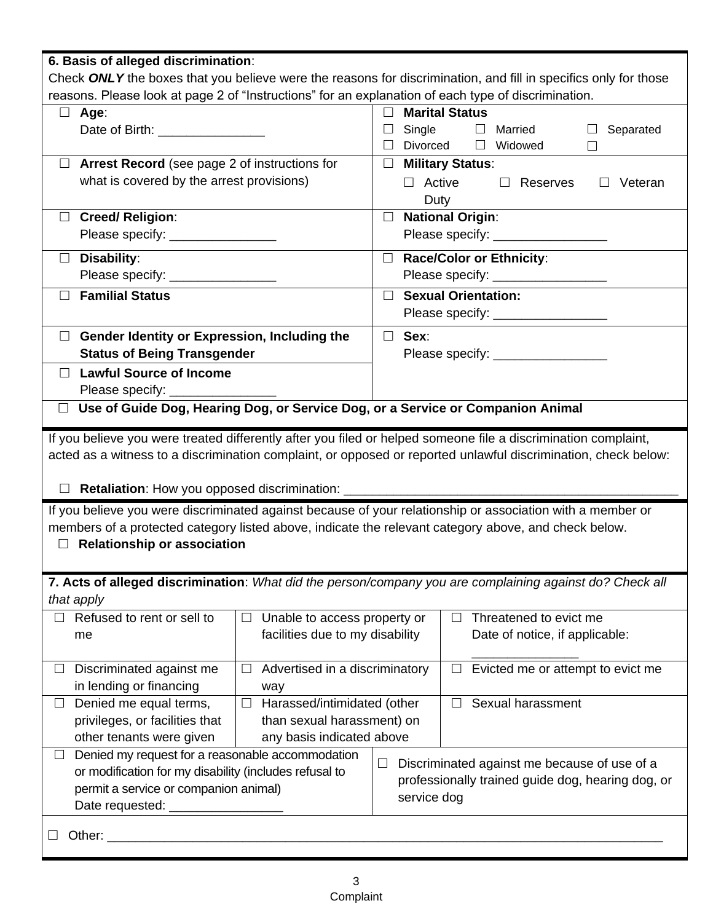| 6. Basis of alleged discrimination:                                                                             |                                                        |  |  |  |  |
|-----------------------------------------------------------------------------------------------------------------|--------------------------------------------------------|--|--|--|--|
| Check ONLY the boxes that you believe were the reasons for discrimination, and fill in specifics only for those |                                                        |  |  |  |  |
| reasons. Please look at page 2 of "Instructions" for an explanation of each type of discrimination.             |                                                        |  |  |  |  |
| $\Box$ Age:                                                                                                     | <b>Marital Status</b><br>$\Box$                        |  |  |  |  |
| Date of Birth: _________________                                                                                | $\Box$ Single<br>$\Box$<br>Married<br>$\Box$ Separated |  |  |  |  |
|                                                                                                                 | $\Box$ Divorced<br>$\Box$ Widowed<br>$\Box$            |  |  |  |  |
| $\Box$ Arrest Record (see page 2 of instructions for                                                            | □ Military Status:                                     |  |  |  |  |
| what is covered by the arrest provisions)                                                                       | $\Box$ Active $\Box$ Reserves<br>$\Box$ Veteran        |  |  |  |  |
|                                                                                                                 | Duty                                                   |  |  |  |  |
| <b>Creed/Religion:</b><br>$\Box$                                                                                | $\Box$ National Origin:                                |  |  |  |  |
| Please specify: _________________                                                                               | Please specify: __________________                     |  |  |  |  |
| $\Box$ Disability:                                                                                              | Race/Color or Ethnicity:                               |  |  |  |  |
| Please specify: ________________                                                                                | Please specify: ___________________                    |  |  |  |  |
| <b>Familial Status</b><br>$\Box$                                                                                | <b>Sexual Orientation:</b><br>$\Box$                   |  |  |  |  |
|                                                                                                                 | Please specify: ___________________                    |  |  |  |  |
|                                                                                                                 |                                                        |  |  |  |  |
| <b>Gender Identity or Expression, Including the</b><br>ш                                                        | Sex:<br>$\Box$                                         |  |  |  |  |
| <b>Status of Being Transgender</b>                                                                              | Please specify: ___________________                    |  |  |  |  |
| $\Box$ Lawful Source of Income                                                                                  |                                                        |  |  |  |  |
| Please specify: __________________                                                                              |                                                        |  |  |  |  |
| Use of Guide Dog, Hearing Dog, or Service Dog, or a Service or Companion Animal<br>$\Box$                       |                                                        |  |  |  |  |
| If you believe you were treated differently after you filed or helped someone file a discrimination complaint,  |                                                        |  |  |  |  |
| acted as a witness to a discrimination complaint, or opposed or reported unlawful discrimination, check below:  |                                                        |  |  |  |  |
|                                                                                                                 |                                                        |  |  |  |  |
| □ Retaliation: How you opposed discrimination: _________________________________                                |                                                        |  |  |  |  |
| If you believe you were discriminated against because of your relationship or association with a member or      |                                                        |  |  |  |  |
| members of a protected category listed above, indicate the relevant category above, and check below.            |                                                        |  |  |  |  |
| $\Box$ Relationship or association                                                                              |                                                        |  |  |  |  |
|                                                                                                                 |                                                        |  |  |  |  |
| 7. Acts of alleged discrimination: What did the person/company you are complaining against do? Check all        |                                                        |  |  |  |  |
|                                                                                                                 |                                                        |  |  |  |  |
| that apply<br>Refused to rent or sell to                                                                        | Threatened to evict me                                 |  |  |  |  |
| $\Box$ Unable to access property or<br>ப                                                                        | $\Box$                                                 |  |  |  |  |
| facilities due to my disability<br>me                                                                           | Date of notice, if applicable:                         |  |  |  |  |
| Advertised in a discriminatory                                                                                  | Evicted me or attempt to evict me                      |  |  |  |  |
| Discriminated against me<br>L<br>ப<br>in lending or financing                                                   |                                                        |  |  |  |  |
| way                                                                                                             | Sexual harassment                                      |  |  |  |  |
| Denied me equal terms,<br>$\Box$ Harassed/intimidated (other<br>ப<br>than sexual harassment) on                 |                                                        |  |  |  |  |
| privileges, or facilities that                                                                                  |                                                        |  |  |  |  |
| any basis indicated above<br>other tenants were given<br>Denied my request for a reasonable accommodation       |                                                        |  |  |  |  |
| ப                                                                                                               | Discriminated against me because of use of a<br>$\Box$ |  |  |  |  |
| or modification for my disability (includes refusal to                                                          | professionally trained guide dog, hearing dog, or      |  |  |  |  |
| permit a service or companion animal)                                                                           | service dog                                            |  |  |  |  |
| Date requested: __________________                                                                              |                                                        |  |  |  |  |
|                                                                                                                 |                                                        |  |  |  |  |
|                                                                                                                 |                                                        |  |  |  |  |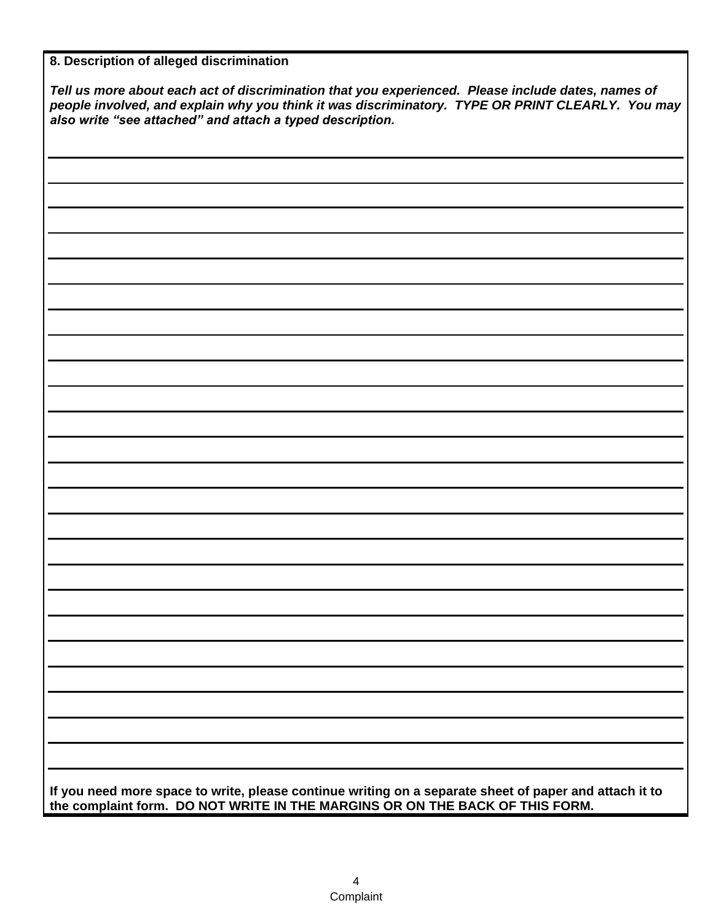**8. Description of alleged discrimination**

*Tell us more about each act of discrimination that you experienced. Please include dates, names of people involved, and explain why you think it was discriminatory. TYPE OR PRINT CLEARLY. You may also write "see attached" and attach a typed description.*

| If you need more space to write, please continue writing on a separate sheet of paper and attach it to the complaint form. DO NOT WRITE IN THE MARGINS OR ON THE BACK OF THIS FORM. |
|-------------------------------------------------------------------------------------------------------------------------------------------------------------------------------------|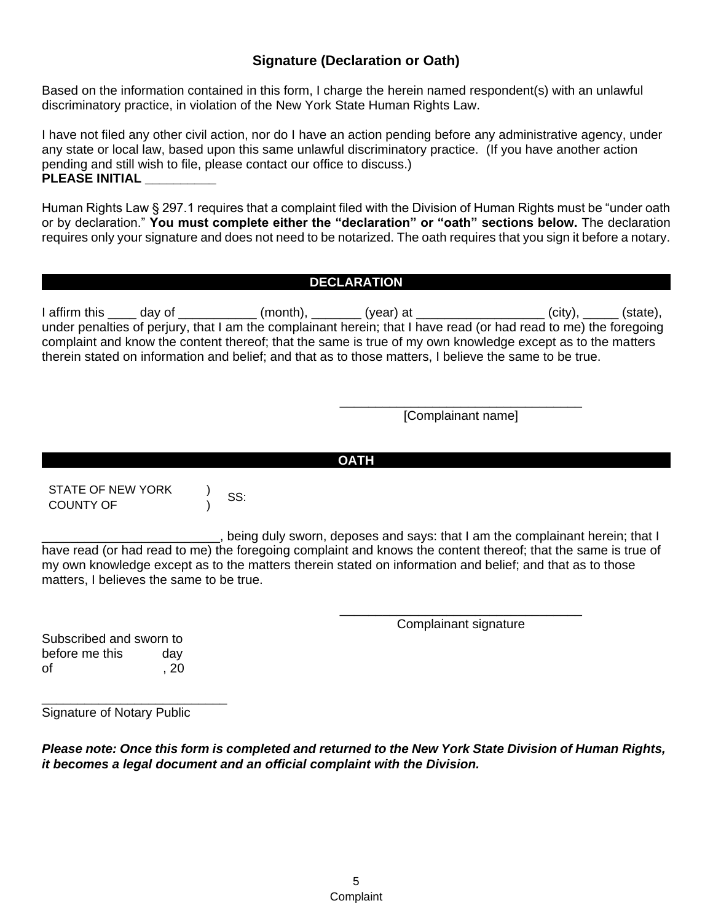# **Signature (Declaration or Oath)**

Based on the information contained in this form, I charge the herein named respondent(s) with an unlawful discriminatory practice, in violation of the New York State Human Rights Law.

I have not filed any other civil action, nor do I have an action pending before any administrative agency, under any state or local law, based upon this same unlawful discriminatory practice. (If you have another action pending and still wish to file, please contact our office to discuss.) **PLEASE INITIAL \_\_\_\_\_\_\_\_\_\_**

Human Rights Law § 297.1 requires that a complaint filed with the Division of Human Rights must be "under oath or by declaration." **You must complete either the "declaration" or "oath" sections below.** The declaration requires only your signature and does not need to be notarized. The oath requires that you sign it before a notary.

## **DECLARATION**

I affirm this \_\_\_\_ day of \_\_\_\_\_\_\_\_\_\_\_\_ (month), \_\_\_\_\_\_\_ (year) at \_\_\_\_\_\_\_\_\_\_\_\_\_\_\_\_\_\_\_ (city), \_\_\_\_\_ (state), under penalties of perjury, that I am the complainant herein; that I have read (or had read to me) the foregoing complaint and know the content thereof; that the same is true of my own knowledge except as to the matters therein stated on information and belief; and that as to those matters, I believe the same to be true.

> \_\_\_\_\_\_\_\_\_\_\_\_\_\_\_\_\_\_\_\_\_\_\_\_\_\_\_\_\_\_\_\_\_\_ [Complainant name]

STATE OF NEW YORK COUNTY OF ) ) SS:

\_\_\_\_\_\_\_\_\_\_\_\_\_\_\_\_\_\_\_\_\_\_\_\_\_, being duly sworn, deposes and says: that I am the complainant herein; that I have read (or had read to me) the foregoing complaint and knows the content thereof; that the same is true of my own knowledge except as to the matters therein stated on information and belief; and that as to those matters, I believes the same to be true.

**OATH**

\_\_\_\_\_\_\_\_\_\_\_\_\_\_\_\_\_\_\_\_\_\_\_\_\_\_\_\_\_\_\_\_\_\_ Complainant signature

Subscribed and sworn to before me this day of , 20

Signature of Notary Public

\_\_\_\_\_\_\_\_\_\_\_\_\_\_\_\_\_\_\_\_\_\_\_\_\_\_

*Please note: Once this form is completed and returned to the New York State Division of Human Rights, it becomes a legal document and an official complaint with the Division.*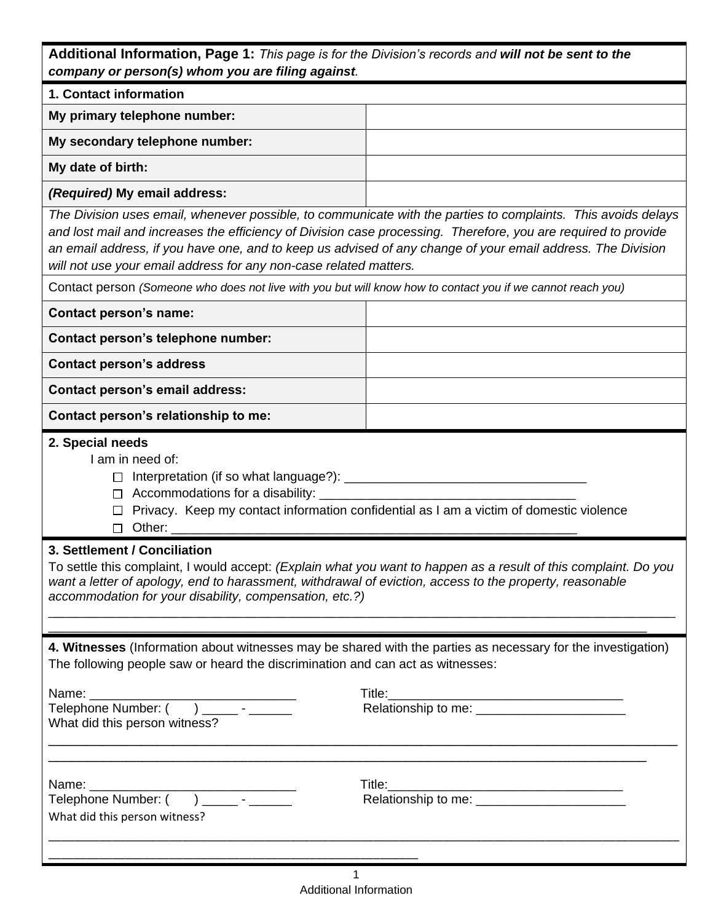| Additional Information, Page 1: This page is for the Division's records and will not be sent to the<br>company or person(s) whom you are filing against.                                                                                                                                                                                                                                                                                                         |                                                                                                               |
|------------------------------------------------------------------------------------------------------------------------------------------------------------------------------------------------------------------------------------------------------------------------------------------------------------------------------------------------------------------------------------------------------------------------------------------------------------------|---------------------------------------------------------------------------------------------------------------|
| 1. Contact information                                                                                                                                                                                                                                                                                                                                                                                                                                           |                                                                                                               |
| My primary telephone number:                                                                                                                                                                                                                                                                                                                                                                                                                                     |                                                                                                               |
| My secondary telephone number:                                                                                                                                                                                                                                                                                                                                                                                                                                   |                                                                                                               |
| My date of birth:                                                                                                                                                                                                                                                                                                                                                                                                                                                |                                                                                                               |
| (Required) My email address:                                                                                                                                                                                                                                                                                                                                                                                                                                     |                                                                                                               |
| and lost mail and increases the efficiency of Division case processing. Therefore, you are required to provide<br>an email address, if you have one, and to keep us advised of any change of your email address. The Division<br>will not use your email address for any non-case related matters.                                                                                                                                                               | The Division uses email, whenever possible, to communicate with the parties to complaints. This avoids delays |
| Contact person (Someone who does not live with you but will know how to contact you if we cannot reach you)                                                                                                                                                                                                                                                                                                                                                      |                                                                                                               |
| <b>Contact person's name:</b>                                                                                                                                                                                                                                                                                                                                                                                                                                    |                                                                                                               |
| Contact person's telephone number:                                                                                                                                                                                                                                                                                                                                                                                                                               |                                                                                                               |
| <b>Contact person's address</b>                                                                                                                                                                                                                                                                                                                                                                                                                                  |                                                                                                               |
| <b>Contact person's email address:</b>                                                                                                                                                                                                                                                                                                                                                                                                                           |                                                                                                               |
| Contact person's relationship to me:                                                                                                                                                                                                                                                                                                                                                                                                                             |                                                                                                               |
| 2. Special needs<br>I am in need of:<br>Interpretation (if so what language?): ________________<br>□ Accommodations for a disability: _________                                                                                                                                                                                                                                                                                                                  | Privacy. Keep my contact information confidential as I am a victim of domestic violence                       |
| 3. Settlement / Conciliation<br>To settle this complaint, I would accept: <i>(Explain what you want to happen as a result of this complaint. Do you</i><br>want a letter of apology, end to harassment, withdrawal of eviction, access to the property, reasonable<br>accommodation for your disability, compensation, etc.?)                                                                                                                                    |                                                                                                               |
| 4. Witnesses (Information about witnesses may be shared with the parties as necessary for the investigation)<br>The following people saw or heard the discrimination and can act as witnesses:<br>Name: and the state of the state of the state of the state of the state of the state of the state of the state of the state of the state of the state of the state of the state of the state of the state of the state of the<br>What did this person witness? |                                                                                                               |
| the control of the control of the control of the                                                                                                                                                                                                                                                                                                                                                                                                                 |                                                                                                               |

Name: \_\_\_\_\_\_\_\_\_\_\_\_\_\_\_\_\_\_\_\_\_\_\_\_\_\_\_\_\_ Title:\_\_\_\_\_\_\_\_\_\_\_\_\_\_\_\_\_\_\_\_\_\_\_\_\_\_\_\_\_\_\_\_\_ Telephone Number: ( ) \_\_\_\_\_\_ - \_\_\_\_\_\_ Relationship to me: \_\_\_\_\_\_\_\_\_\_\_\_\_\_\_\_\_\_\_\_\_\_

\_\_\_\_\_\_\_\_\_\_\_\_\_\_\_\_\_\_\_\_\_\_\_\_\_\_\_\_\_\_\_\_\_\_\_\_\_\_\_\_\_\_\_\_\_\_\_\_\_\_\_\_\_\_\_\_\_\_

\_\_\_\_\_\_\_\_\_\_\_\_\_\_\_\_\_\_\_\_\_\_\_\_\_\_\_\_\_\_\_\_\_\_\_\_\_\_\_\_\_\_\_\_\_\_\_\_\_\_\_\_\_\_\_\_\_\_\_\_\_\_\_\_\_\_\_\_\_\_\_\_\_\_\_\_\_\_\_\_\_\_\_\_\_\_\_\_\_\_\_\_\_\_\_\_\_\_\_

What did this person witness?